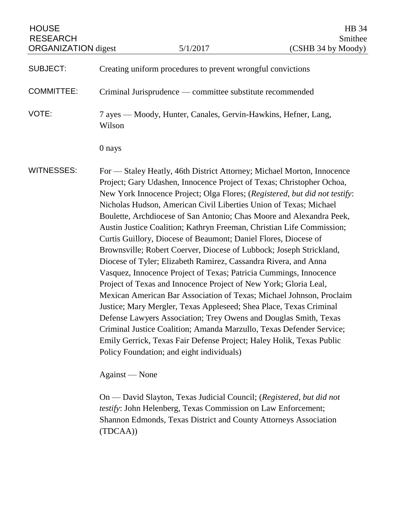| <b>HOUSE</b><br><b>RESEARCH</b> |                |                                                                                                                                                                                                                                                                                                                                                                                                                                                                                                                                                                                                                                                                                                                                                                                                                                                                                                                                                                                                                                                                                                                                                                                                                          | HB 34<br>Smithee   |
|---------------------------------|----------------|--------------------------------------------------------------------------------------------------------------------------------------------------------------------------------------------------------------------------------------------------------------------------------------------------------------------------------------------------------------------------------------------------------------------------------------------------------------------------------------------------------------------------------------------------------------------------------------------------------------------------------------------------------------------------------------------------------------------------------------------------------------------------------------------------------------------------------------------------------------------------------------------------------------------------------------------------------------------------------------------------------------------------------------------------------------------------------------------------------------------------------------------------------------------------------------------------------------------------|--------------------|
| <b>ORGANIZATION</b> digest      |                | 5/1/2017                                                                                                                                                                                                                                                                                                                                                                                                                                                                                                                                                                                                                                                                                                                                                                                                                                                                                                                                                                                                                                                                                                                                                                                                                 | (CSHB 34 by Moody) |
| <b>SUBJECT:</b>                 |                | Creating uniform procedures to prevent wrongful convictions                                                                                                                                                                                                                                                                                                                                                                                                                                                                                                                                                                                                                                                                                                                                                                                                                                                                                                                                                                                                                                                                                                                                                              |                    |
| <b>COMMITTEE:</b>               |                | Criminal Jurisprudence — committee substitute recommended                                                                                                                                                                                                                                                                                                                                                                                                                                                                                                                                                                                                                                                                                                                                                                                                                                                                                                                                                                                                                                                                                                                                                                |                    |
| VOTE:                           | Wilson         | 7 ayes — Moody, Hunter, Canales, Gervin-Hawkins, Hefner, Lang,                                                                                                                                                                                                                                                                                                                                                                                                                                                                                                                                                                                                                                                                                                                                                                                                                                                                                                                                                                                                                                                                                                                                                           |                    |
|                                 | 0 nays         |                                                                                                                                                                                                                                                                                                                                                                                                                                                                                                                                                                                                                                                                                                                                                                                                                                                                                                                                                                                                                                                                                                                                                                                                                          |                    |
| <b>WITNESSES:</b>               |                | For - Staley Heatly, 46th District Attorney; Michael Morton, Innocence<br>Project; Gary Udashen, Innocence Project of Texas; Christopher Ochoa,<br>New York Innocence Project; Olga Flores; (Registered, but did not testify:<br>Nicholas Hudson, American Civil Liberties Union of Texas; Michael<br>Boulette, Archdiocese of San Antonio; Chas Moore and Alexandra Peek,<br>Austin Justice Coalition; Kathryn Freeman, Christian Life Commission;<br>Curtis Guillory, Diocese of Beaumont; Daniel Flores, Diocese of<br>Brownsville; Robert Coerver, Diocese of Lubbock; Joseph Strickland,<br>Diocese of Tyler; Elizabeth Ramirez, Cassandra Rivera, and Anna<br>Vasquez, Innocence Project of Texas; Patricia Cummings, Innocence<br>Project of Texas and Innocence Project of New York; Gloria Leal,<br>Mexican American Bar Association of Texas; Michael Johnson, Proclaim<br>Justice; Mary Mergler, Texas Appleseed; Shea Place, Texas Criminal<br>Defense Lawyers Association; Trey Owens and Douglas Smith, Texas<br>Criminal Justice Coalition; Amanda Marzullo, Texas Defender Service;<br>Emily Gerrick, Texas Fair Defense Project; Haley Holik, Texas Public<br>Policy Foundation; and eight individuals) |                    |
|                                 | Against — None |                                                                                                                                                                                                                                                                                                                                                                                                                                                                                                                                                                                                                                                                                                                                                                                                                                                                                                                                                                                                                                                                                                                                                                                                                          |                    |
|                                 |                | On — David Slayton, Texas Judicial Council; (Registered, but did not                                                                                                                                                                                                                                                                                                                                                                                                                                                                                                                                                                                                                                                                                                                                                                                                                                                                                                                                                                                                                                                                                                                                                     |                    |

*testify*: John Helenberg, Texas Commission on Law Enforcement; Shannon Edmonds, Texas District and County Attorneys Association (TDCAA))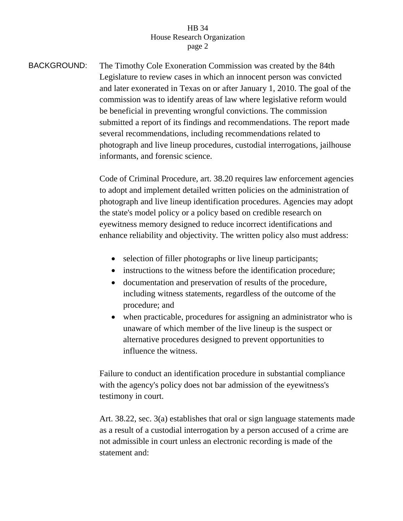BACKGROUND: The Timothy Cole Exoneration Commission was created by the 84th Legislature to review cases in which an innocent person was convicted and later exonerated in Texas on or after January 1, 2010. The goal of the commission was to identify areas of law where legislative reform would be beneficial in preventing wrongful convictions. The commission submitted a report of its findings and recommendations. The report made several recommendations, including recommendations related to photograph and live lineup procedures, custodial interrogations, jailhouse informants, and forensic science.

> Code of Criminal Procedure, art. 38.20 requires law enforcement agencies to adopt and implement detailed written policies on the administration of photograph and live lineup identification procedures. Agencies may adopt the state's model policy or a policy based on credible research on eyewitness memory designed to reduce incorrect identifications and enhance reliability and objectivity. The written policy also must address:

- selection of filler photographs or live lineup participants;
- instructions to the witness before the identification procedure;
- documentation and preservation of results of the procedure, including witness statements, regardless of the outcome of the procedure; and
- when practicable, procedures for assigning an administrator who is unaware of which member of the live lineup is the suspect or alternative procedures designed to prevent opportunities to influence the witness.

Failure to conduct an identification procedure in substantial compliance with the agency's policy does not bar admission of the eyewitness's testimony in court.

Art. 38.22, sec. 3(a) establishes that oral or sign language statements made as a result of a custodial interrogation by a person accused of a crime are not admissible in court unless an electronic recording is made of the statement and: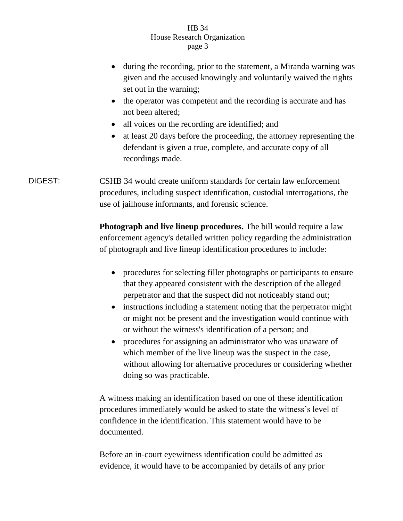- during the recording, prior to the statement, a Miranda warning was given and the accused knowingly and voluntarily waived the rights set out in the warning;
- the operator was competent and the recording is accurate and has not been altered;
- all voices on the recording are identified; and
- at least 20 days before the proceeding, the attorney representing the defendant is given a true, complete, and accurate copy of all recordings made.

DIGEST: CSHB 34 would create uniform standards for certain law enforcement procedures, including suspect identification, custodial interrogations, the use of jailhouse informants, and forensic science.

> **Photograph and live lineup procedures.** The bill would require a law enforcement agency's detailed written policy regarding the administration of photograph and live lineup identification procedures to include:

- procedures for selecting filler photographs or participants to ensure that they appeared consistent with the description of the alleged perpetrator and that the suspect did not noticeably stand out;
- instructions including a statement noting that the perpetrator might or might not be present and the investigation would continue with or without the witness's identification of a person; and
- procedures for assigning an administrator who was unaware of which member of the live lineup was the suspect in the case, without allowing for alternative procedures or considering whether doing so was practicable.

A witness making an identification based on one of these identification procedures immediately would be asked to state the witness's level of confidence in the identification. This statement would have to be documented.

Before an in-court eyewitness identification could be admitted as evidence, it would have to be accompanied by details of any prior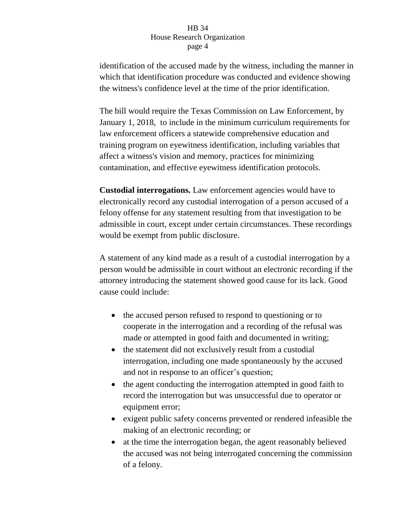identification of the accused made by the witness, including the manner in which that identification procedure was conducted and evidence showing the witness's confidence level at the time of the prior identification.

The bill would require the Texas Commission on Law Enforcement, by January 1, 2018, to include in the minimum curriculum requirements for law enforcement officers a statewide comprehensive education and training program on eyewitness identification, including variables that affect a witness's vision and memory, practices for minimizing contamination, and effective eyewitness identification protocols.

**Custodial interrogations.** Law enforcement agencies would have to electronically record any custodial interrogation of a person accused of a felony offense for any statement resulting from that investigation to be admissible in court, except under certain circumstances. These recordings would be exempt from public disclosure.

A statement of any kind made as a result of a custodial interrogation by a person would be admissible in court without an electronic recording if the attorney introducing the statement showed good cause for its lack. Good cause could include:

- the accused person refused to respond to questioning or to cooperate in the interrogation and a recording of the refusal was made or attempted in good faith and documented in writing;
- the statement did not exclusively result from a custodial interrogation, including one made spontaneously by the accused and not in response to an officer's question;
- the agent conducting the interrogation attempted in good faith to record the interrogation but was unsuccessful due to operator or equipment error;
- exigent public safety concerns prevented or rendered infeasible the making of an electronic recording; or
- at the time the interrogation began, the agent reasonably believed the accused was not being interrogated concerning the commission of a felony.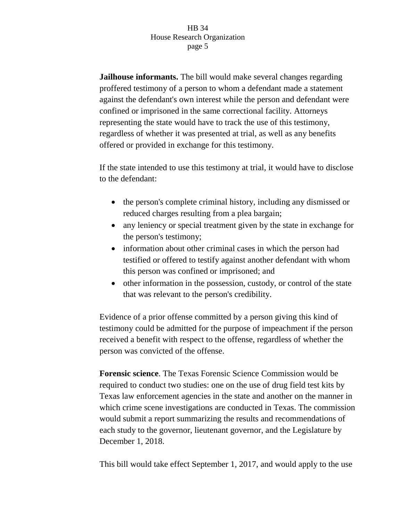**Jailhouse informants.** The bill would make several changes regarding proffered testimony of a person to whom a defendant made a statement against the defendant's own interest while the person and defendant were confined or imprisoned in the same correctional facility. Attorneys representing the state would have to track the use of this testimony, regardless of whether it was presented at trial, as well as any benefits offered or provided in exchange for this testimony.

If the state intended to use this testimony at trial, it would have to disclose to the defendant:

- the person's complete criminal history, including any dismissed or reduced charges resulting from a plea bargain;
- any leniency or special treatment given by the state in exchange for the person's testimony;
- information about other criminal cases in which the person had testified or offered to testify against another defendant with whom this person was confined or imprisoned; and
- other information in the possession, custody, or control of the state that was relevant to the person's credibility.

Evidence of a prior offense committed by a person giving this kind of testimony could be admitted for the purpose of impeachment if the person received a benefit with respect to the offense, regardless of whether the person was convicted of the offense.

**Forensic science**. The Texas Forensic Science Commission would be required to conduct two studies: one on the use of drug field test kits by Texas law enforcement agencies in the state and another on the manner in which crime scene investigations are conducted in Texas. The commission would submit a report summarizing the results and recommendations of each study to the governor, lieutenant governor, and the Legislature by December 1, 2018.

This bill would take effect September 1, 2017, and would apply to the use